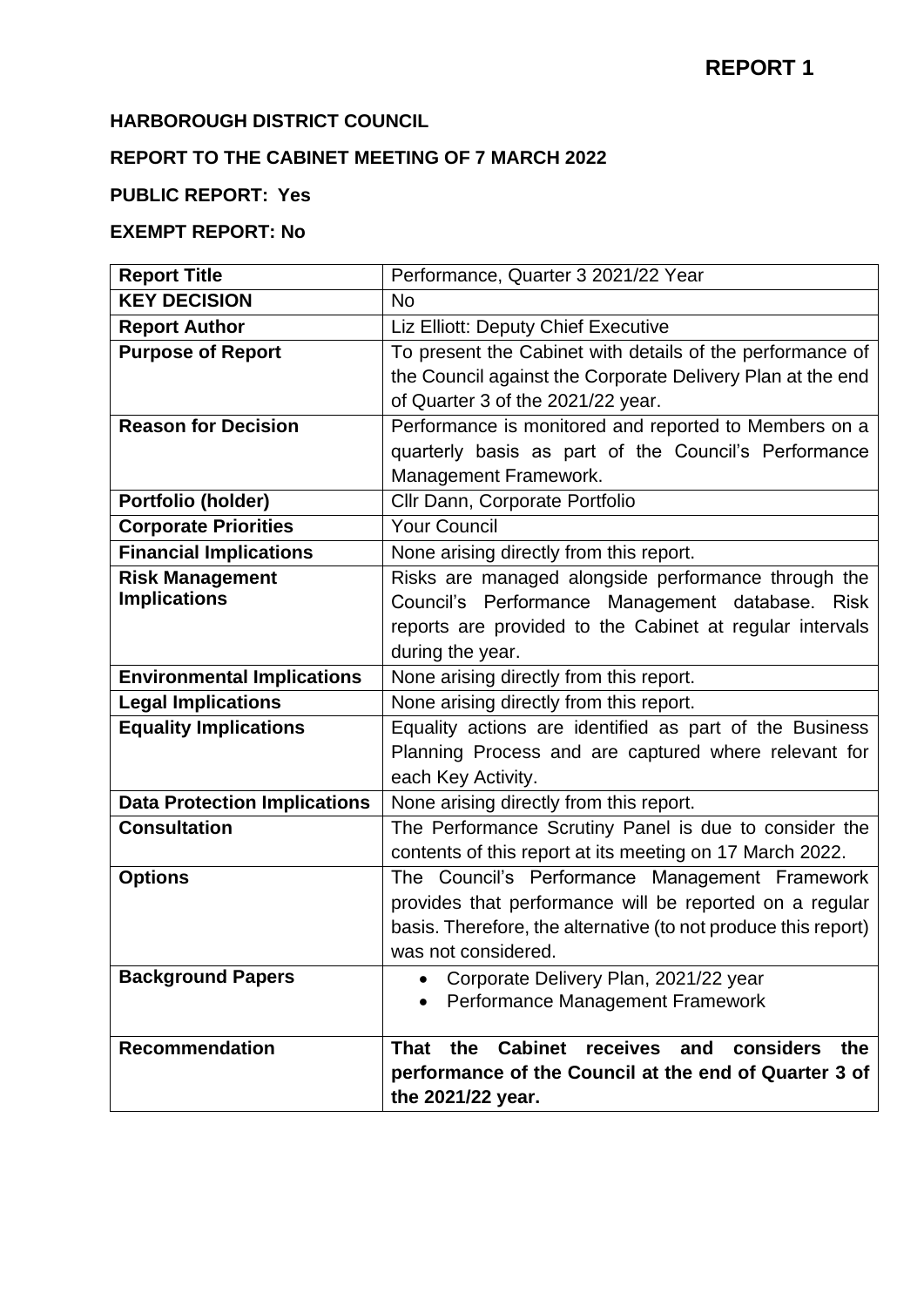## **HARBOROUGH DISTRICT COUNCIL**

# **REPORT TO THE CABINET MEETING OF 7 MARCH 2022**

# **PUBLIC REPORT: Yes**

## **EXEMPT REPORT: No**

| <b>Report Title</b>                 | Performance, Quarter 3 2021/22 Year                                                                                     |
|-------------------------------------|-------------------------------------------------------------------------------------------------------------------------|
| <b>KEY DECISION</b>                 | <b>No</b>                                                                                                               |
| <b>Report Author</b>                | Liz Elliott: Deputy Chief Executive                                                                                     |
| <b>Purpose of Report</b>            | To present the Cabinet with details of the performance of<br>the Council against the Corporate Delivery Plan at the end |
|                                     | of Quarter 3 of the 2021/22 year.                                                                                       |
| <b>Reason for Decision</b>          | Performance is monitored and reported to Members on a                                                                   |
|                                     | quarterly basis as part of the Council's Performance                                                                    |
|                                     | Management Framework.                                                                                                   |
| Portfolio (holder)                  | Cllr Dann, Corporate Portfolio                                                                                          |
| <b>Corporate Priorities</b>         | <b>Your Council</b>                                                                                                     |
| <b>Financial Implications</b>       | None arising directly from this report.                                                                                 |
| <b>Risk Management</b>              | Risks are managed alongside performance through the                                                                     |
| <b>Implications</b>                 | Council's Performance Management database. Risk                                                                         |
|                                     | reports are provided to the Cabinet at regular intervals                                                                |
|                                     | during the year.                                                                                                        |
| <b>Environmental Implications</b>   | None arising directly from this report.                                                                                 |
| <b>Legal Implications</b>           | None arising directly from this report.                                                                                 |
| <b>Equality Implications</b>        | Equality actions are identified as part of the Business                                                                 |
|                                     | Planning Process and are captured where relevant for                                                                    |
|                                     | each Key Activity.                                                                                                      |
| <b>Data Protection Implications</b> | None arising directly from this report.                                                                                 |
| <b>Consultation</b>                 | The Performance Scrutiny Panel is due to consider the                                                                   |
|                                     | contents of this report at its meeting on 17 March 2022.                                                                |
| <b>Options</b>                      | The Council's Performance<br>Management Framework                                                                       |
|                                     | provides that performance will be reported on a regular                                                                 |
|                                     | basis. Therefore, the alternative (to not produce this report)                                                          |
|                                     | was not considered.                                                                                                     |
| <b>Background Papers</b>            | Corporate Delivery Plan, 2021/22 year                                                                                   |
|                                     | Performance Management Framework                                                                                        |
| <b>Recommendation</b>               | <b>Cabinet</b><br>considers<br>the<br>receives<br><b>That</b><br>and<br>the                                             |
|                                     | performance of the Council at the end of Quarter 3 of                                                                   |
|                                     | the 2021/22 year.                                                                                                       |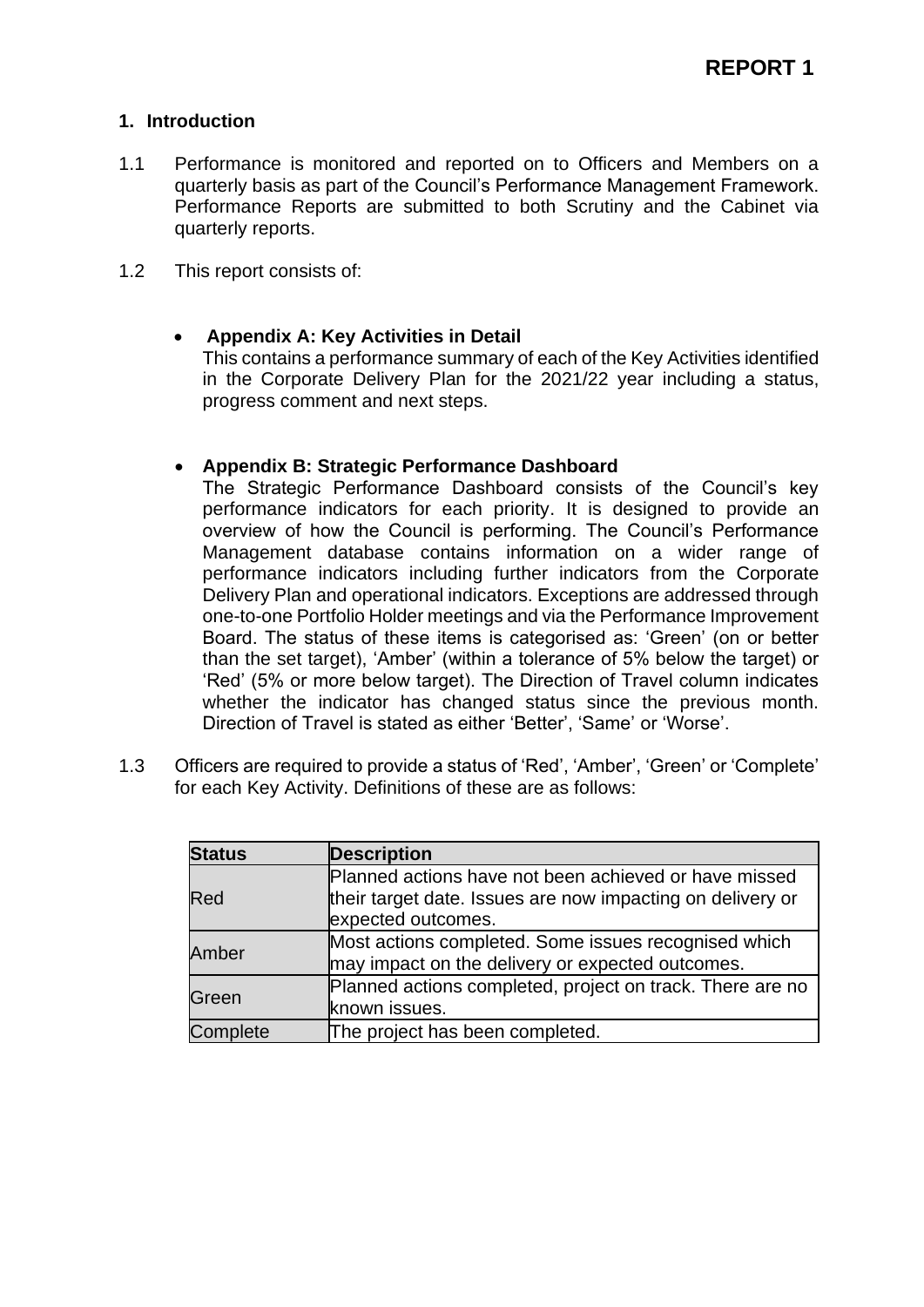## **1. Introduction**

- 1.1 Performance is monitored and reported on to Officers and Members on a quarterly basis as part of the Council's Performance Management Framework. Performance Reports are submitted to both Scrutiny and the Cabinet via quarterly reports.
- 1.2 This report consists of:

## • **Appendix A: Key Activities in Detail**

This contains a performance summary of each of the Key Activities identified in the Corporate Delivery Plan for the 2021/22 year including a status, progress comment and next steps.

## • **Appendix B: Strategic Performance Dashboard**

The Strategic Performance Dashboard consists of the Council's key performance indicators for each priority. It is designed to provide an overview of how the Council is performing. The Council's Performance Management database contains information on a wider range of performance indicators including further indicators from the Corporate Delivery Plan and operational indicators. Exceptions are addressed through one-to-one Portfolio Holder meetings and via the Performance Improvement Board. The status of these items is categorised as: 'Green' (on or better than the set target), 'Amber' (within a tolerance of 5% below the target) or 'Red' (5% or more below target). The Direction of Travel column indicates whether the indicator has changed status since the previous month. Direction of Travel is stated as either 'Better', 'Same' or 'Worse'.

1.3 Officers are required to provide a status of 'Red', 'Amber', 'Green' or 'Complete' for each Key Activity. Definitions of these are as follows:

| <b>Status</b> | <b>Description</b>                                                                                                                        |
|---------------|-------------------------------------------------------------------------------------------------------------------------------------------|
| Red           | Planned actions have not been achieved or have missed<br>their target date. Issues are now impacting on delivery or<br>expected outcomes. |
| Amber         | Most actions completed. Some issues recognised which<br>may impact on the delivery or expected outcomes.                                  |
| Green         | Planned actions completed, project on track. There are no<br>known issues.                                                                |
| Complete      | The project has been completed.                                                                                                           |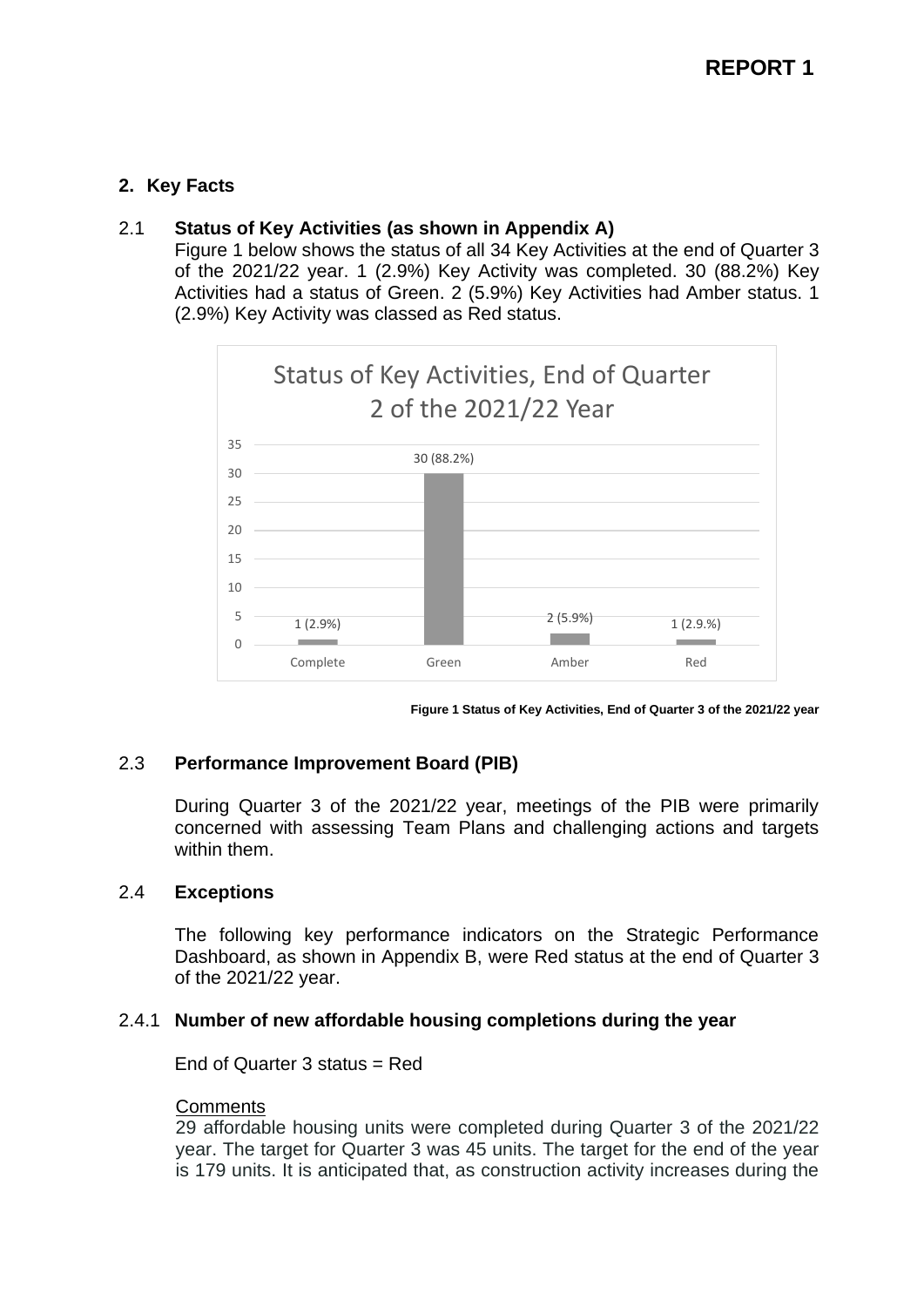## **2. Key Facts**

## 2.1 **Status of Key Activities (as shown in Appendix A)**

Figure 1 below shows the status of all 34 Key Activities at the end of Quarter 3 of the 2021/22 year. 1 (2.9%) Key Activity was completed. 30 (88.2%) Key Activities had a status of Green. 2 (5.9%) Key Activities had Amber status. 1 (2.9%) Key Activity was classed as Red status.



**Figure 1 Status of Key Activities, End of Quarter 3 of the 2021/22 year**

## 2.3 **Performance Improvement Board (PIB)**

During Quarter 3 of the 2021/22 year, meetings of the PIB were primarily concerned with assessing Team Plans and challenging actions and targets within them.

#### 2.4 **Exceptions**

The following key performance indicators on the Strategic Performance Dashboard, as shown in Appendix B, were Red status at the end of Quarter 3 of the 2021/22 year.

#### 2.4.1 **Number of new affordable housing completions during the year**

End of Quarter 3 status = Red

#### **Comments**

29 affordable housing units were completed during Quarter 3 of the 2021/22 year. The target for Quarter 3 was 45 units. The target for the end of the year is 179 units. It is anticipated that, as construction activity increases during the